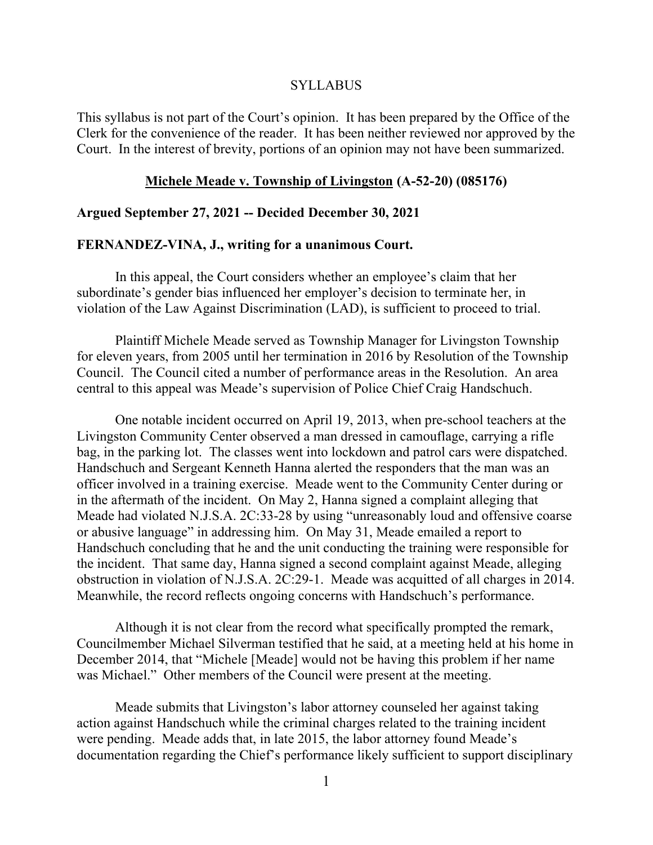#### SYLLABUS

This syllabus is not part of the Court's opinion. It has been prepared by the Office of the Clerk for the convenience of the reader. It has been neither reviewed nor approved by the Court. In the interest of brevity, portions of an opinion may not have been summarized.

#### **Michele Meade v. Township of Livingston (A-52-20) (085176)**

#### **Argued September 27, 2021 -- Decided December 30, 2021**

#### **FERNANDEZ-VINA, J., writing for a unanimous Court.**

In this appeal, the Court considers whether an employee's claim that her subordinate's gender bias influenced her employer's decision to terminate her, in violation of the Law Against Discrimination (LAD), is sufficient to proceed to trial.

Plaintiff Michele Meade served as Township Manager for Livingston Township for eleven years, from 2005 until her termination in 2016 by Resolution of the Township Council. The Council cited a number of performance areas in the Resolution. An area central to this appeal was Meade's supervision of Police Chief Craig Handschuch.

One notable incident occurred on April 19, 2013, when pre-school teachers at the Livingston Community Center observed a man dressed in camouflage, carrying a rifle bag, in the parking lot. The classes went into lockdown and patrol cars were dispatched. Handschuch and Sergeant Kenneth Hanna alerted the responders that the man was an officer involved in a training exercise. Meade went to the Community Center during or in the aftermath of the incident. On May 2, Hanna signed a complaint alleging that Meade had violated N.J.S.A. 2C:33-28 by using "unreasonably loud and offensive coarse or abusive language" in addressing him. On May 31, Meade emailed a report to Handschuch concluding that he and the unit conducting the training were responsible for the incident. That same day, Hanna signed a second complaint against Meade, alleging obstruction in violation of N.J.S.A. 2C:29-1. Meade was acquitted of all charges in 2014. Meanwhile, the record reflects ongoing concerns with Handschuch's performance.

Although it is not clear from the record what specifically prompted the remark, Councilmember Michael Silverman testified that he said, at a meeting held at his home in December 2014, that "Michele [Meade] would not be having this problem if her name was Michael." Other members of the Council were present at the meeting.

Meade submits that Livingston's labor attorney counseled her against taking action against Handschuch while the criminal charges related to the training incident were pending. Meade adds that, in late 2015, the labor attorney found Meade's documentation regarding the Chief's performance likely sufficient to support disciplinary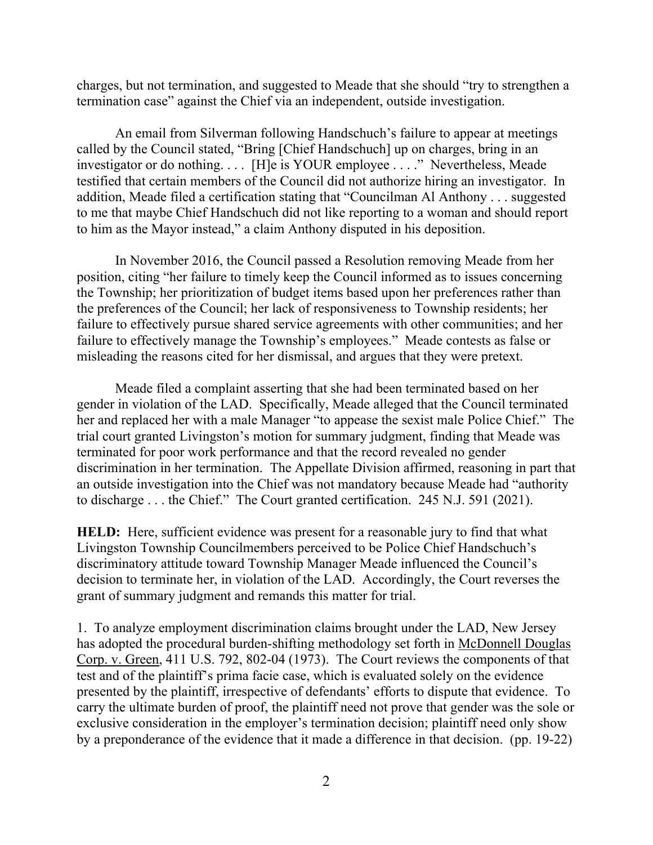charges, but not termination, and suggested to Meade that she should "try to strengthen a termination case" against the Chief via an independent, outside investigation.

An email from Silverman following Handschuch's failure to appear at meetings called by the Council stated, "Bring [Chief Handschuch] up on charges, bring in an investigator or do nothing. . . . [H]e is YOUR employee . . . ." Nevertheless, Meade testified that certain members of the Council did not authorize hiring an investigator. In addition, Meade filed a certification stating that "Councilman Al Anthony . . . suggested to me that maybe Chief Handschuch did not like reporting to a woman and should report to him as the Mayor instead," a claim Anthony disputed in his deposition.

In November 2016, the Council passed a Resolution removing Meade from her position, citing "her failure to timely keep the Council informed as to issues concerning the Township; her prioritization of budget items based upon her preferences rather than the preferences of the Council; her lack of responsiveness to Township residents; her failure to effectively pursue shared service agreements with other communities; and her failure to effectively manage the Township's employees." Meade contests as false or misleading the reasons cited for her dismissal, and argues that they were pretext.

Meade filed a complaint asserting that she had been terminated based on her gender in violation of the LAD. Specifically, Meade alleged that the Council terminated her and replaced her with a male Manager "to appease the sexist male Police Chief." The trial court granted Livingston's motion for summary judgment, finding that Meade was terminated for poor work performance and that the record revealed no gender discrimination in her termination. The Appellate Division affirmed, reasoning in part that an outside investigation into the Chief was not mandatory because Meade had "authority to discharge . . . the Chief." The Court granted certification. 245 N.J. 591 (2021).

**HELD:** Here, sufficient evidence was present for a reasonable jury to find that what Livingston Township Councilmembers perceived to be Police Chief Handschuch's discriminatory attitude toward Township Manager Meade influenced the Council's decision to terminate her, in violation of the LAD. Accordingly, the Court reverses the grant of summary judgment and remands this matter for trial.

1. To analyze employment discrimination claims brought under the LAD, New Jersey has adopted the procedural burden-shifting methodology set forth in McDonnell Douglas Corp. v. Green, 411 U.S. 792, 802-04 (1973). The Court reviews the components of that test and of the plaintiff's prima facie case, which is evaluated solely on the evidence presented by the plaintiff, irrespective of defendants' efforts to dispute that evidence. To carry the ultimate burden of proof, the plaintiff need not prove that gender was the sole or exclusive consideration in the employer's termination decision; plaintiff need only show by a preponderance of the evidence that it made a difference in that decision. (pp. 19-22)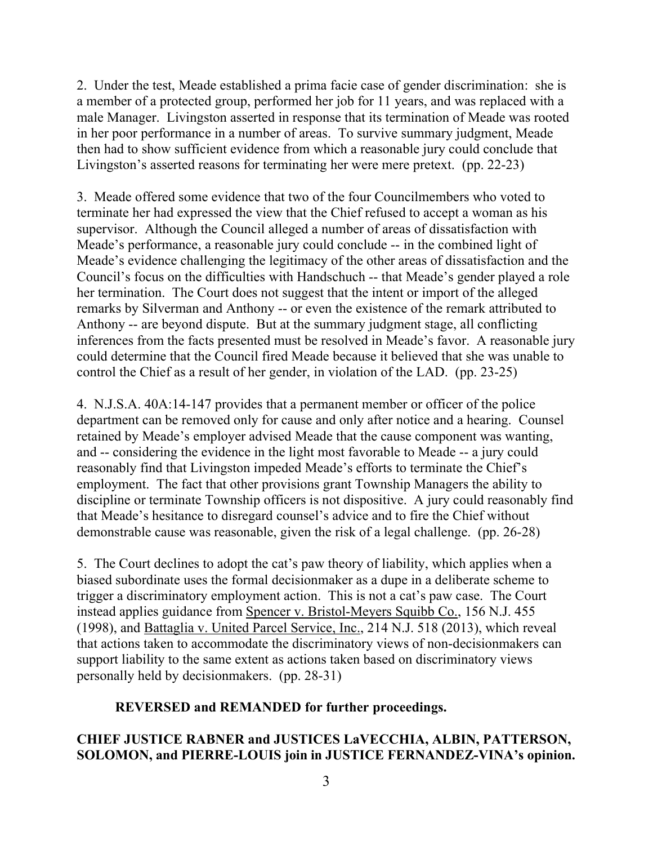2. Under the test, Meade established a prima facie case of gender discrimination: she is a member of a protected group, performed her job for 11 years, and was replaced with a male Manager. Livingston asserted in response that its termination of Meade was rooted in her poor performance in a number of areas. To survive summary judgment, Meade then had to show sufficient evidence from which a reasonable jury could conclude that Livingston's asserted reasons for terminating her were mere pretext. (pp. 22-23)

3. Meade offered some evidence that two of the four Councilmembers who voted to terminate her had expressed the view that the Chief refused to accept a woman as his supervisor. Although the Council alleged a number of areas of dissatisfaction with Meade's performance, a reasonable jury could conclude -- in the combined light of Meade's evidence challenging the legitimacy of the other areas of dissatisfaction and the Council's focus on the difficulties with Handschuch -- that Meade's gender played a role her termination. The Court does not suggest that the intent or import of the alleged remarks by Silverman and Anthony -- or even the existence of the remark attributed to Anthony -- are beyond dispute. But at the summary judgment stage, all conflicting inferences from the facts presented must be resolved in Meade's favor. A reasonable jury could determine that the Council fired Meade because it believed that she was unable to control the Chief as a result of her gender, in violation of the LAD. (pp. 23-25)

4. N.J.S.A. 40A:14-147 provides that a permanent member or officer of the police department can be removed only for cause and only after notice and a hearing. Counsel retained by Meade's employer advised Meade that the cause component was wanting, and -- considering the evidence in the light most favorable to Meade -- a jury could reasonably find that Livingston impeded Meade's efforts to terminate the Chief's employment. The fact that other provisions grant Township Managers the ability to discipline or terminate Township officers is not dispositive. A jury could reasonably find that Meade's hesitance to disregard counsel's advice and to fire the Chief without demonstrable cause was reasonable, given the risk of a legal challenge. (pp. 26-28)

5. The Court declines to adopt the cat's paw theory of liability, which applies when a biased subordinate uses the formal decisionmaker as a dupe in a deliberate scheme to trigger a discriminatory employment action. This is not a cat's paw case. The Court instead applies guidance from Spencer v. Bristol-Meyers Squibb Co., 156 N.J. 455 (1998), and Battaglia v. United Parcel Service, Inc., 214 N.J. 518 (2013), which reveal that actions taken to accommodate the discriminatory views of non-decisionmakers can support liability to the same extent as actions taken based on discriminatory views personally held by decisionmakers. (pp. 28-31)

## **REVERSED and REMANDED for further proceedings.**

## **CHIEF JUSTICE RABNER and JUSTICES LaVECCHIA, ALBIN, PATTERSON, SOLOMON, and PIERRE-LOUIS join in JUSTICE FERNANDEZ-VINA's opinion.**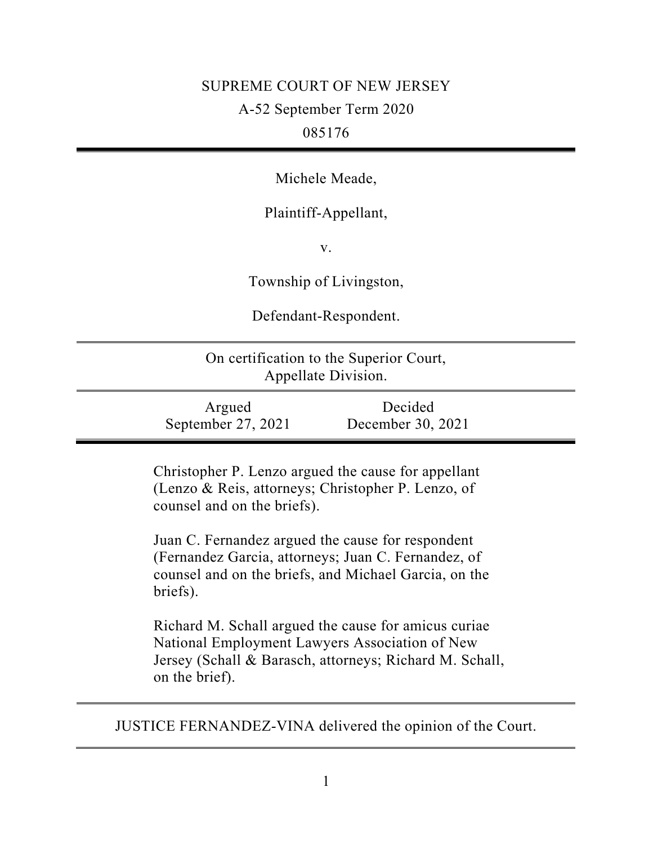# SUPREME COURT OF NEW JERSEY A-52 September Term 2020 085176

Michele Meade,

Plaintiff-Appellant,

v.

Township of Livingston,

Defendant-Respondent.

| On certification to the Superior Court,<br>Appellate Division. |                              |  |
|----------------------------------------------------------------|------------------------------|--|
| Argued<br>September 27, 2021                                   | Decided<br>December 30, 2021 |  |

Christopher P. Lenzo argued the cause for appellant (Lenzo & Reis, attorneys; Christopher P. Lenzo, of counsel and on the briefs).

Juan C. Fernandez argued the cause for respondent (Fernandez Garcia, attorneys; Juan C. Fernandez, of counsel and on the briefs, and Michael Garcia, on the briefs).

Richard M. Schall argued the cause for amicus curiae National Employment Lawyers Association of New Jersey (Schall & Barasch, attorneys; Richard M. Schall, on the brief).

JUSTICE FERNANDEZ-VINA delivered the opinion of the Court.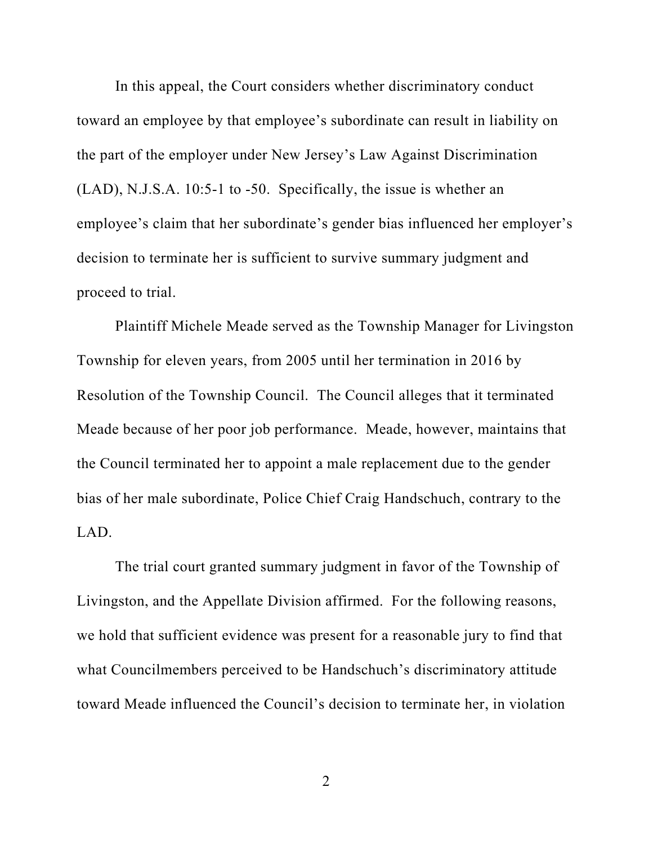In this appeal, the Court considers whether discriminatory conduct toward an employee by that employee's subordinate can result in liability on the part of the employer under New Jersey's Law Against Discrimination (LAD), N.J.S.A. 10:5-1 to -50. Specifically, the issue is whether an employee's claim that her subordinate's gender bias influenced her employer's decision to terminate her is sufficient to survive summary judgment and proceed to trial.

Plaintiff Michele Meade served as the Township Manager for Livingston Township for eleven years, from 2005 until her termination in 2016 by Resolution of the Township Council. The Council alleges that it terminated Meade because of her poor job performance. Meade, however, maintains that the Council terminated her to appoint a male replacement due to the gender bias of her male subordinate, Police Chief Craig Handschuch, contrary to the LAD.

The trial court granted summary judgment in favor of the Township of Livingston, and the Appellate Division affirmed. For the following reasons, we hold that sufficient evidence was present for a reasonable jury to find that what Councilmembers perceived to be Handschuch's discriminatory attitude toward Meade influenced the Council's decision to terminate her, in violation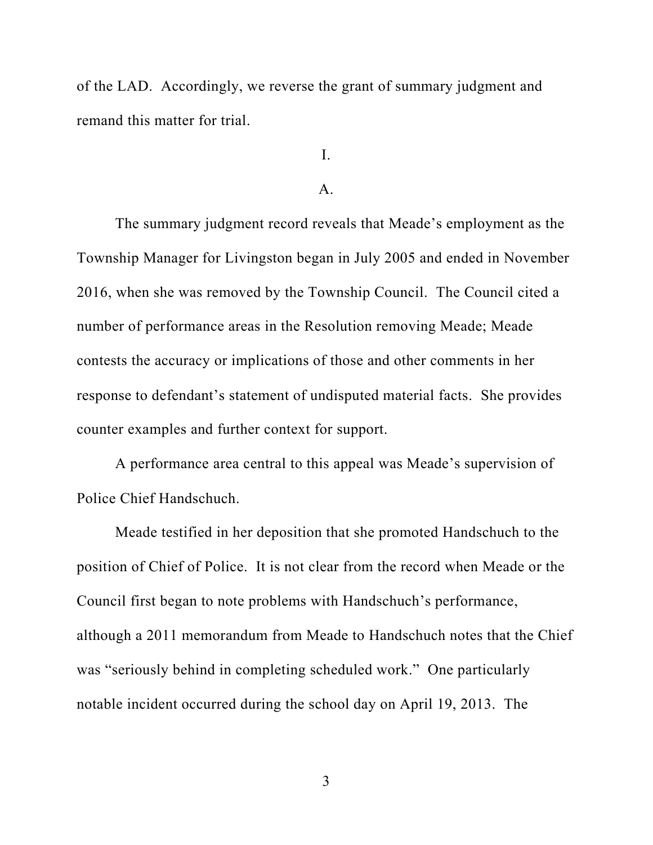of the LAD. Accordingly, we reverse the grant of summary judgment and remand this matter for trial.

I.

## A.

The summary judgment record reveals that Meade's employment as the Township Manager for Livingston began in July 2005 and ended in November 2016, when she was removed by the Township Council. The Council cited a number of performance areas in the Resolution removing Meade; Meade contests the accuracy or implications of those and other comments in her response to defendant's statement of undisputed material facts. She provides counter examples and further context for support.

A performance area central to this appeal was Meade's supervision of Police Chief Handschuch.

Meade testified in her deposition that she promoted Handschuch to the position of Chief of Police. It is not clear from the record when Meade or the Council first began to note problems with Handschuch's performance, although a 2011 memorandum from Meade to Handschuch notes that the Chief was "seriously behind in completing scheduled work." One particularly notable incident occurred during the school day on April 19, 2013. The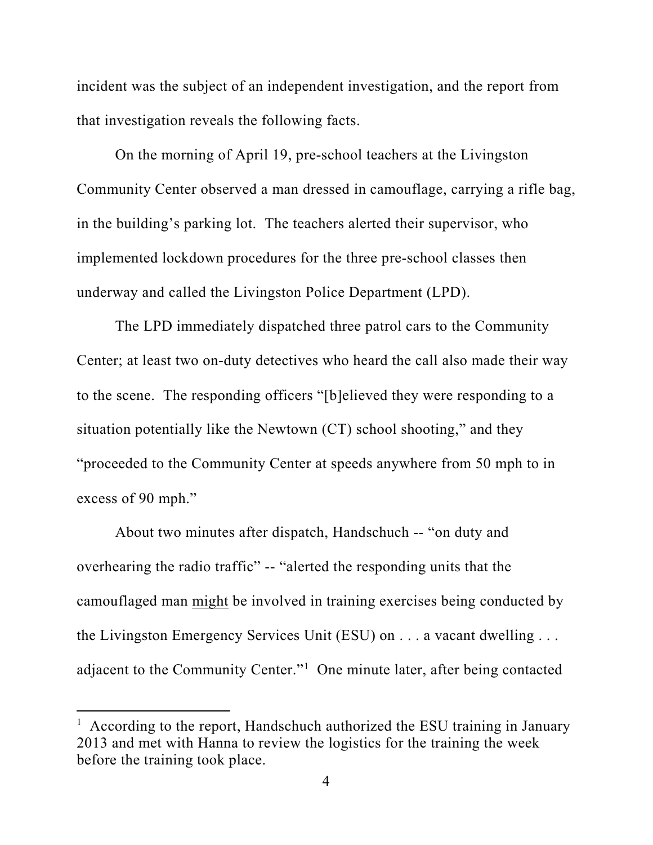incident was the subject of an independent investigation, and the report from that investigation reveals the following facts.

On the morning of April 19, pre-school teachers at the Livingston Community Center observed a man dressed in camouflage, carrying a rifle bag, in the building's parking lot. The teachers alerted their supervisor, who implemented lockdown procedures for the three pre-school classes then underway and called the Livingston Police Department (LPD).

The LPD immediately dispatched three patrol cars to the Community Center; at least two on-duty detectives who heard the call also made their way to the scene. The responding officers "[b]elieved they were responding to a situation potentially like the Newtown (CT) school shooting," and they "proceeded to the Community Center at speeds anywhere from 50 mph to in excess of 90 mph."

About two minutes after dispatch, Handschuch -- "on duty and overhearing the radio traffic" -- "alerted the responding units that the camouflaged man might be involved in training exercises being conducted by the Livingston Emergency Services Unit (ESU) on . . . a vacant dwelling . . . adjacent to the Community Center."1 One minute later, after being contacted

<sup>&</sup>lt;sup>1</sup> According to the report, Handschuch authorized the ESU training in January 2013 and met with Hanna to review the logistics for the training the week before the training took place.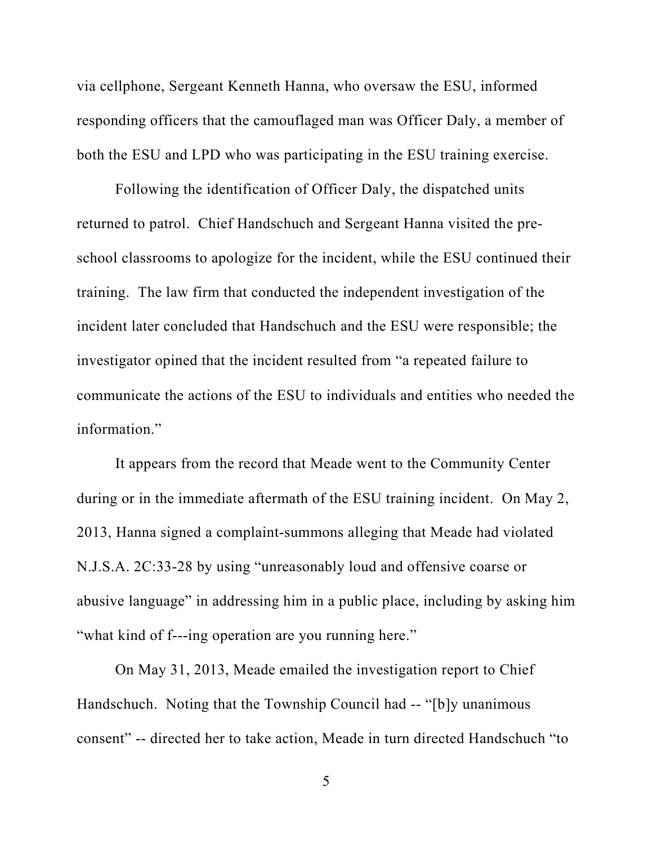via cellphone, Sergeant Kenneth Hanna, who oversaw the ESU, informed responding officers that the camouflaged man was Officer Daly, a member of both the ESU and LPD who was participating in the ESU training exercise.

Following the identification of Officer Daly, the dispatched units returned to patrol. Chief Handschuch and Sergeant Hanna visited the preschool classrooms to apologize for the incident, while the ESU continued their training. The law firm that conducted the independent investigation of the incident later concluded that Handschuch and the ESU were responsible; the investigator opined that the incident resulted from "a repeated failure to communicate the actions of the ESU to individuals and entities who needed the information."

It appears from the record that Meade went to the Community Center during or in the immediate aftermath of the ESU training incident. On May 2, 2013, Hanna signed a complaint-summons alleging that Meade had violated N.J.S.A. 2C:33-28 by using "unreasonably loud and offensive coarse or abusive language" in addressing him in a public place, including by asking him "what kind of f---ing operation are you running here."

On May 31, 2013, Meade emailed the investigation report to Chief Handschuch. Noting that the Township Council had -- "[b]y unanimous consent" -- directed her to take action, Meade in turn directed Handschuch "to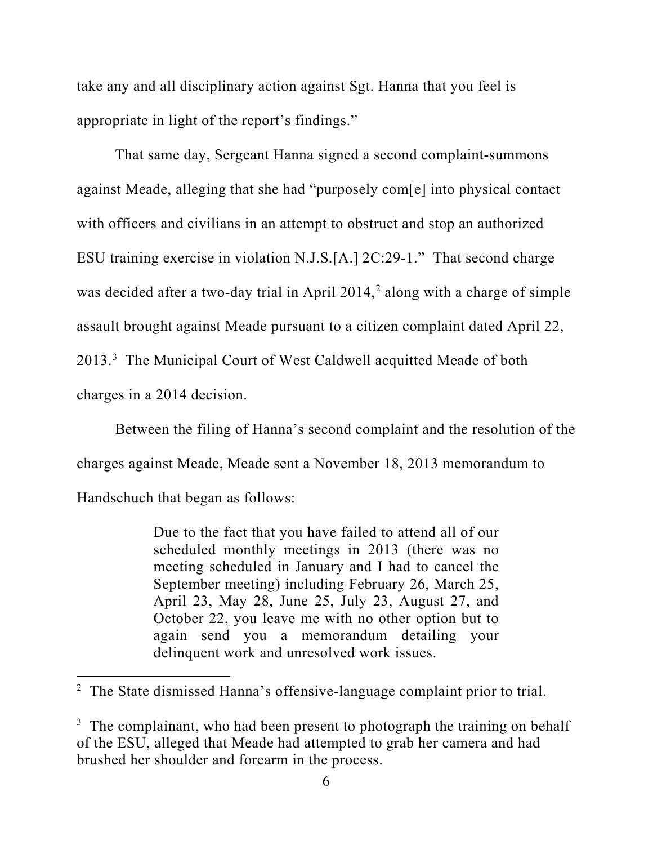take any and all disciplinary action against Sgt. Hanna that you feel is appropriate in light of the report's findings."

That same day, Sergeant Hanna signed a second complaint-summons against Meade, alleging that she had "purposely com[e] into physical contact with officers and civilians in an attempt to obstruct and stop an authorized ESU training exercise in violation N.J.S.[A.] 2C:29-1." That second charge was decided after a two-day trial in April 2014, <sup>2</sup> along with a charge of simple assault brought against Meade pursuant to a citizen complaint dated April 22, 2013.<sup>3</sup> The Municipal Court of West Caldwell acquitted Meade of both charges in a 2014 decision.

Between the filing of Hanna's second complaint and the resolution of the charges against Meade, Meade sent a November 18, 2013 memorandum to Handschuch that began as follows:

> Due to the fact that you have failed to attend all of our scheduled monthly meetings in 2013 (there was no meeting scheduled in January and I had to cancel the September meeting) including February 26, March 25, April 23, May 28, June 25, July 23, August 27, and October 22, you leave me with no other option but to again send you a memorandum detailing your delinquent work and unresolved work issues.

<sup>&</sup>lt;sup>2</sup> The State dismissed Hanna's offensive-language complaint prior to trial.

 $3$  The complainant, who had been present to photograph the training on behalf of the ESU, alleged that Meade had attempted to grab her camera and had brushed her shoulder and forearm in the process.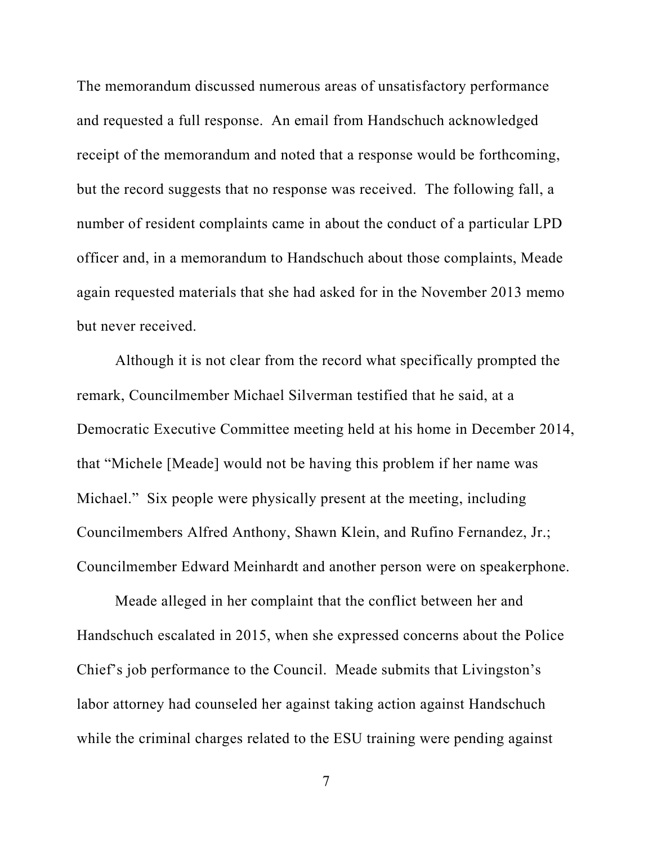The memorandum discussed numerous areas of unsatisfactory performance and requested a full response. An email from Handschuch acknowledged receipt of the memorandum and noted that a response would be forthcoming, but the record suggests that no response was received. The following fall, a number of resident complaints came in about the conduct of a particular LPD officer and, in a memorandum to Handschuch about those complaints, Meade again requested materials that she had asked for in the November 2013 memo but never received.

Although it is not clear from the record what specifically prompted the remark, Councilmember Michael Silverman testified that he said, at a Democratic Executive Committee meeting held at his home in December 2014, that "Michele [Meade] would not be having this problem if her name was Michael." Six people were physically present at the meeting, including Councilmembers Alfred Anthony, Shawn Klein, and Rufino Fernandez, Jr.; Councilmember Edward Meinhardt and another person were on speakerphone.

Meade alleged in her complaint that the conflict between her and Handschuch escalated in 2015, when she expressed concerns about the Police Chief's job performance to the Council. Meade submits that Livingston's labor attorney had counseled her against taking action against Handschuch while the criminal charges related to the ESU training were pending against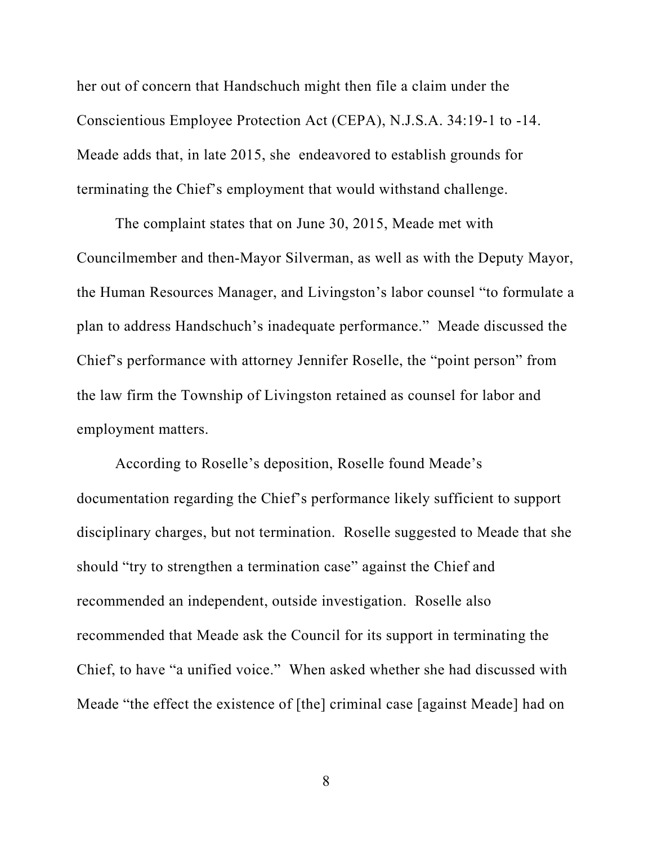her out of concern that Handschuch might then file a claim under the Conscientious Employee Protection Act (CEPA), N.J.S.A. 34:19-1 to -14. Meade adds that, in late 2015, she endeavored to establish grounds for terminating the Chief's employment that would withstand challenge.

The complaint states that on June 30, 2015, Meade met with Councilmember and then-Mayor Silverman, as well as with the Deputy Mayor, the Human Resources Manager, and Livingston's labor counsel "to formulate a plan to address Handschuch's inadequate performance." Meade discussed the Chief's performance with attorney Jennifer Roselle, the "point person" from the law firm the Township of Livingston retained as counsel for labor and employment matters.

According to Roselle's deposition, Roselle found Meade's documentation regarding the Chief's performance likely sufficient to support disciplinary charges, but not termination. Roselle suggested to Meade that she should "try to strengthen a termination case" against the Chief and recommended an independent, outside investigation. Roselle also recommended that Meade ask the Council for its support in terminating the Chief, to have "a unified voice." When asked whether she had discussed with Meade "the effect the existence of [the] criminal case [against Meade] had on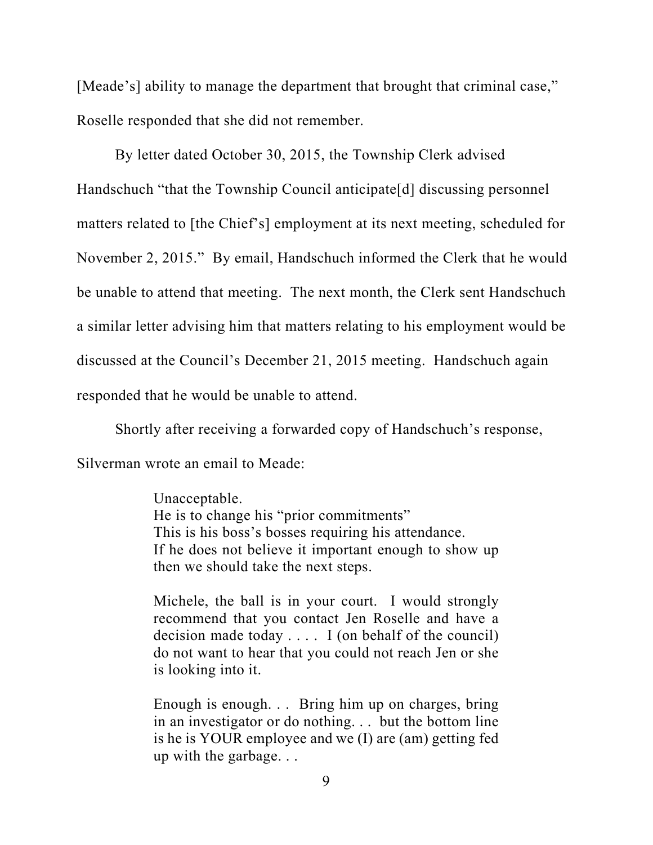[Meade's] ability to manage the department that brought that criminal case," Roselle responded that she did not remember.

By letter dated October 30, 2015, the Township Clerk advised Handschuch "that the Township Council anticipate[d] discussing personnel matters related to [the Chief's] employment at its next meeting, scheduled for November 2, 2015." By email, Handschuch informed the Clerk that he would be unable to attend that meeting. The next month, the Clerk sent Handschuch a similar letter advising him that matters relating to his employment would be discussed at the Council's December 21, 2015 meeting. Handschuch again responded that he would be unable to attend.

Shortly after receiving a forwarded copy of Handschuch's response, Silverman wrote an email to Meade:

> Unacceptable. He is to change his "prior commitments" This is his boss's bosses requiring his attendance. If he does not believe it important enough to show up then we should take the next steps.

> Michele, the ball is in your court. I would strongly recommend that you contact Jen Roselle and have a decision made today  $\dots$  I (on behalf of the council) do not want to hear that you could not reach Jen or she is looking into it.

> Enough is enough. . . Bring him up on charges, bring in an investigator or do nothing. . . but the bottom line is he is YOUR employee and we (I) are (am) getting fed up with the garbage. . .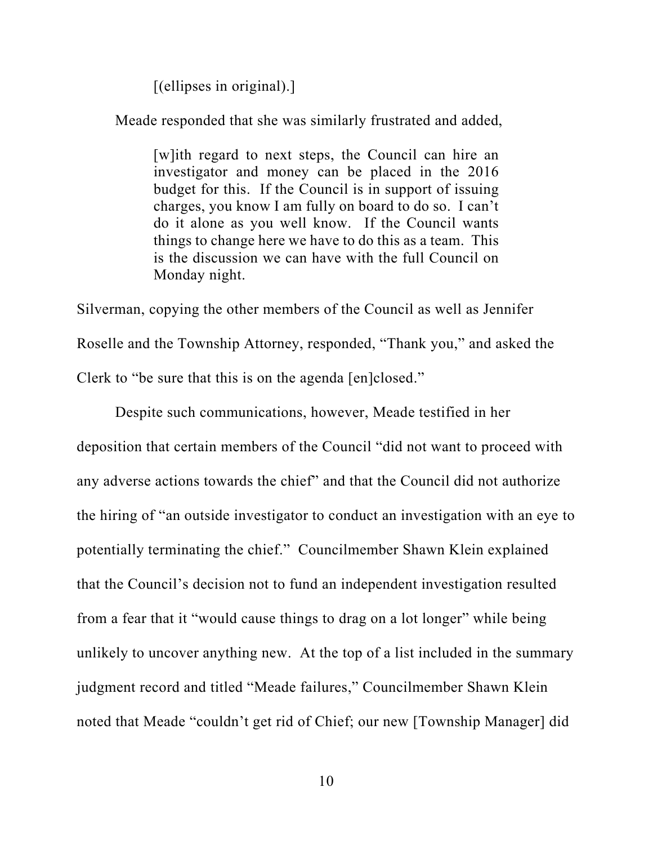[(ellipses in original).]

Meade responded that she was similarly frustrated and added,

[w]ith regard to next steps, the Council can hire an investigator and money can be placed in the 2016 budget for this. If the Council is in support of issuing charges, you know I am fully on board to do so. I can't do it alone as you well know. If the Council wants things to change here we have to do this as a team. This is the discussion we can have with the full Council on Monday night.

Silverman, copying the other members of the Council as well as Jennifer Roselle and the Township Attorney, responded, "Thank you," and asked the Clerk to "be sure that this is on the agenda [en]closed."

Despite such communications, however, Meade testified in her deposition that certain members of the Council "did not want to proceed with any adverse actions towards the chief" and that the Council did not authorize the hiring of "an outside investigator to conduct an investigation with an eye to potentially terminating the chief." Councilmember Shawn Klein explained that the Council's decision not to fund an independent investigation resulted from a fear that it "would cause things to drag on a lot longer" while being unlikely to uncover anything new. At the top of a list included in the summary judgment record and titled "Meade failures," Councilmember Shawn Klein noted that Meade "couldn't get rid of Chief; our new [Township Manager] did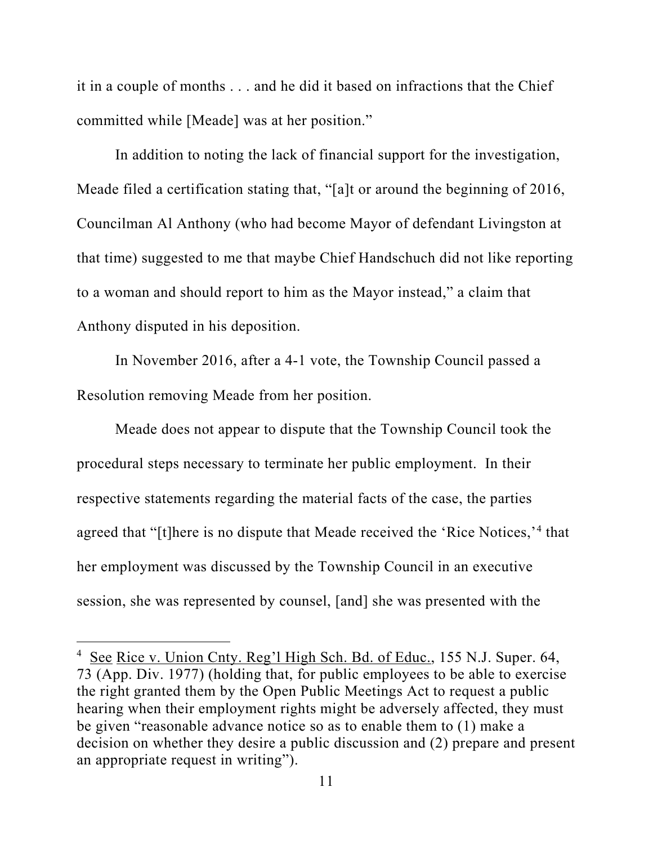it in a couple of months . . . and he did it based on infractions that the Chief committed while [Meade] was at her position."

In addition to noting the lack of financial support for the investigation, Meade filed a certification stating that, "[a]t or around the beginning of 2016, Councilman Al Anthony (who had become Mayor of defendant Livingston at that time) suggested to me that maybe Chief Handschuch did not like reporting to a woman and should report to him as the Mayor instead," a claim that Anthony disputed in his deposition.

In November 2016, after a 4-1 vote, the Township Council passed a Resolution removing Meade from her position.

Meade does not appear to dispute that the Township Council took the procedural steps necessary to terminate her public employment. In their respective statements regarding the material facts of the case, the parties agreed that "[t]here is no dispute that Meade received the 'Rice Notices,'4 that her employment was discussed by the Township Council in an executive session, she was represented by counsel, [and] she was presented with the

<sup>&</sup>lt;sup>4</sup> See Rice v. Union Cnty. Reg'l High Sch. Bd. of Educ., 155 N.J. Super. 64, 73 (App. Div. 1977) (holding that, for public employees to be able to exercise the right granted them by the Open Public Meetings Act to request a public hearing when their employment rights might be adversely affected, they must be given "reasonable advance notice so as to enable them to (1) make a decision on whether they desire a public discussion and (2) prepare and present an appropriate request in writing").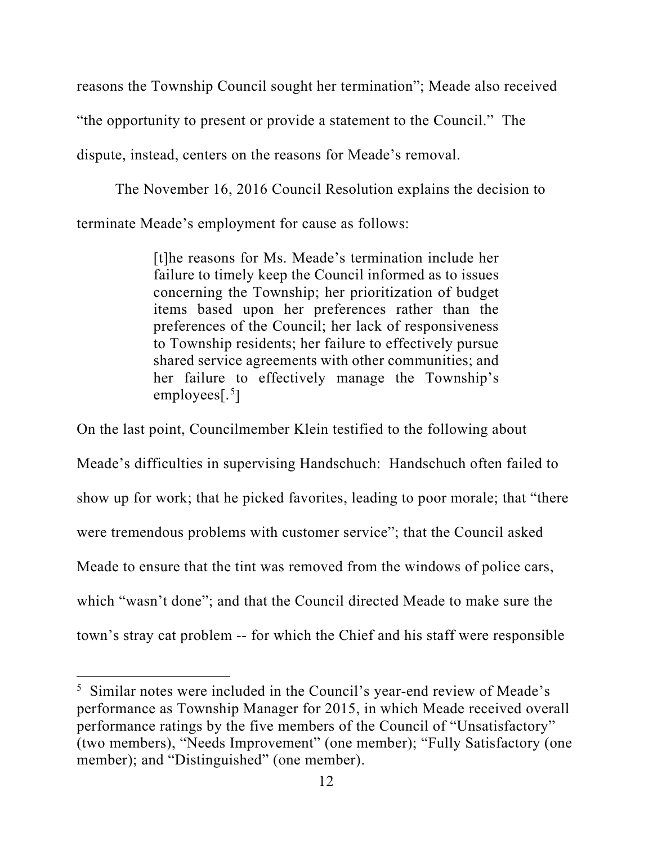reasons the Township Council sought her termination"; Meade also received

"the opportunity to present or provide a statement to the Council." The

dispute, instead, centers on the reasons for Meade's removal.

The November 16, 2016 Council Resolution explains the decision to terminate Meade's employment for cause as follows:

> [t]he reasons for Ms. Meade's termination include her failure to timely keep the Council informed as to issues concerning the Township; her prioritization of budget items based upon her preferences rather than the preferences of the Council; her lack of responsiveness to Township residents; her failure to effectively pursue shared service agreements with other communities; and her failure to effectively manage the Township's employees[.<sup>5</sup>]

On the last point, Councilmember Klein testified to the following about Meade's difficulties in supervising Handschuch: Handschuch often failed to show up for work; that he picked favorites, leading to poor morale; that "there were tremendous problems with customer service"; that the Council asked Meade to ensure that the tint was removed from the windows of police cars, which "wasn't done"; and that the Council directed Meade to make sure the town's stray cat problem -- for which the Chief and his staff were responsible

<sup>5</sup> Similar notes were included in the Council's year-end review of Meade's performance as Township Manager for 2015, in which Meade received overall performance ratings by the five members of the Council of "Unsatisfactory" (two members), "Needs Improvement" (one member); "Fully Satisfactory (one member); and "Distinguished" (one member).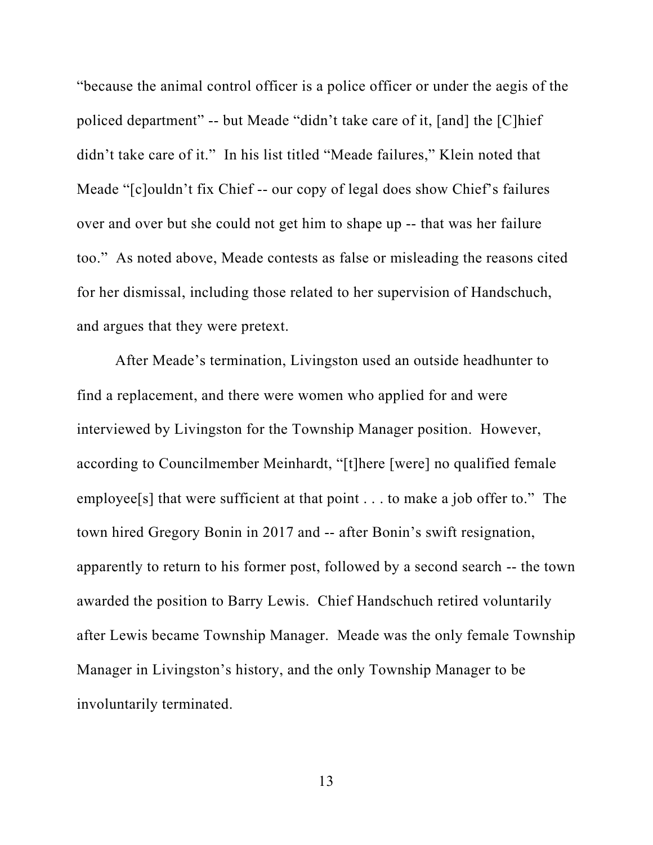"because the animal control officer is a police officer or under the aegis of the policed department" -- but Meade "didn't take care of it, [and] the [C]hief didn't take care of it." In his list titled "Meade failures," Klein noted that Meade "[c]ouldn't fix Chief -- our copy of legal does show Chief's failures over and over but she could not get him to shape up -- that was her failure too." As noted above, Meade contests as false or misleading the reasons cited for her dismissal, including those related to her supervision of Handschuch, and argues that they were pretext.

After Meade's termination, Livingston used an outside headhunter to find a replacement, and there were women who applied for and were interviewed by Livingston for the Township Manager position. However, according to Councilmember Meinhardt, "[t]here [were] no qualified female employee[s] that were sufficient at that point . . . to make a job offer to." The town hired Gregory Bonin in 2017 and -- after Bonin's swift resignation, apparently to return to his former post, followed by a second search -- the town awarded the position to Barry Lewis. Chief Handschuch retired voluntarily after Lewis became Township Manager. Meade was the only female Township Manager in Livingston's history, and the only Township Manager to be involuntarily terminated.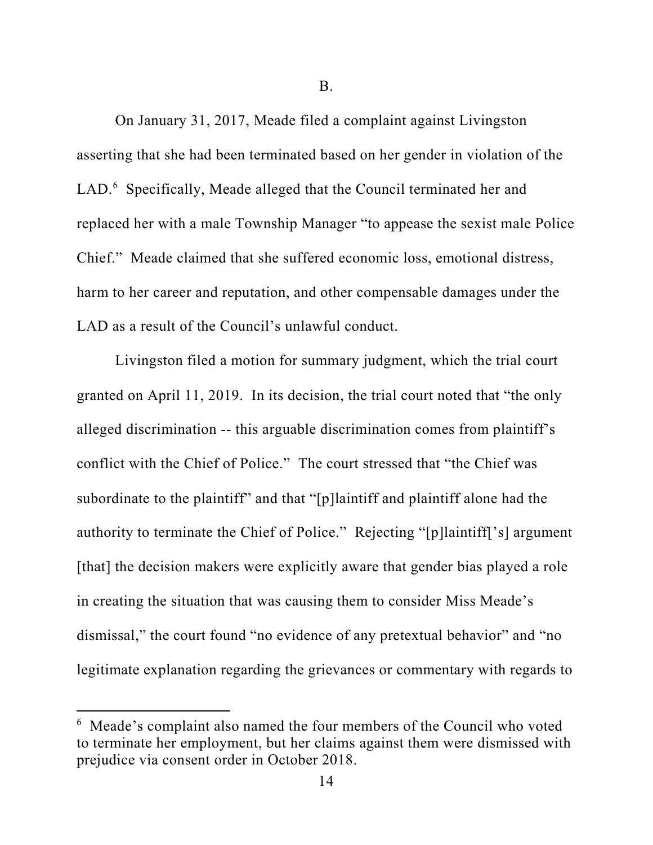B.

On January 31, 2017, Meade filed a complaint against Livingston asserting that she had been terminated based on her gender in violation of the LAD.<sup>6</sup> Specifically, Meade alleged that the Council terminated her and replaced her with a male Township Manager "to appease the sexist male Police Chief." Meade claimed that she suffered economic loss, emotional distress, harm to her career and reputation, and other compensable damages under the LAD as a result of the Council's unlawful conduct.

Livingston filed a motion for summary judgment, which the trial court granted on April 11, 2019. In its decision, the trial court noted that "the only alleged discrimination -- this arguable discrimination comes from plaintiff's conflict with the Chief of Police." The court stressed that "the Chief was subordinate to the plaintiff" and that "[p]laintiff and plaintiff alone had the authority to terminate the Chief of Police." Rejecting "[p]laintiff['s] argument [that] the decision makers were explicitly aware that gender bias played a role in creating the situation that was causing them to consider Miss Meade's dismissal," the court found "no evidence of any pretextual behavior" and "no legitimate explanation regarding the grievances or commentary with regards to

<sup>&</sup>lt;sup>6</sup> Meade's complaint also named the four members of the Council who voted to terminate her employment, but her claims against them were dismissed with prejudice via consent order in October 2018.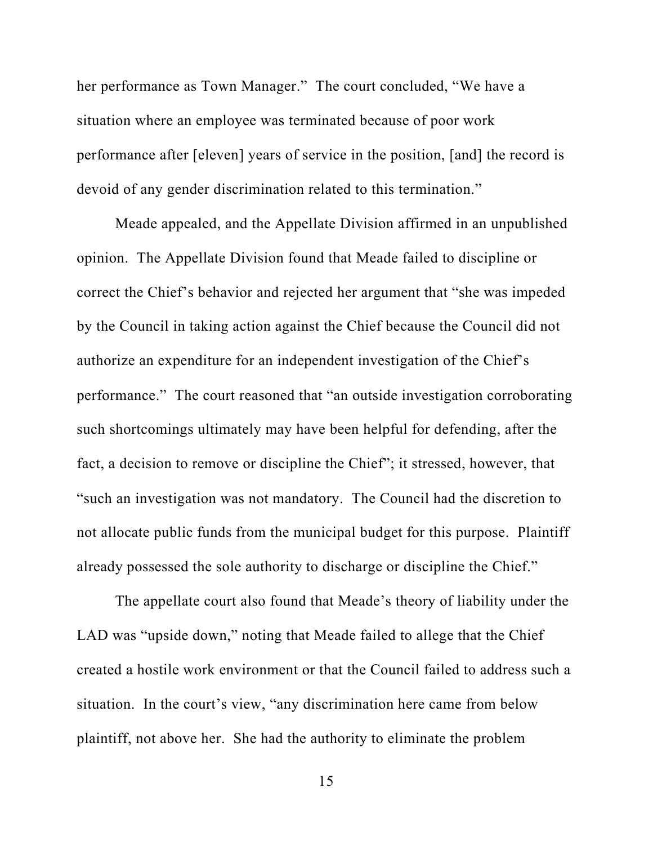her performance as Town Manager." The court concluded, "We have a situation where an employee was terminated because of poor work performance after [eleven] years of service in the position, [and] the record is devoid of any gender discrimination related to this termination."

Meade appealed, and the Appellate Division affirmed in an unpublished opinion. The Appellate Division found that Meade failed to discipline or correct the Chief's behavior and rejected her argument that "she was impeded by the Council in taking action against the Chief because the Council did not authorize an expenditure for an independent investigation of the Chief's performance." The court reasoned that "an outside investigation corroborating such shortcomings ultimately may have been helpful for defending, after the fact, a decision to remove or discipline the Chief"; it stressed, however, that "such an investigation was not mandatory. The Council had the discretion to not allocate public funds from the municipal budget for this purpose. Plaintiff already possessed the sole authority to discharge or discipline the Chief."

The appellate court also found that Meade's theory of liability under the LAD was "upside down," noting that Meade failed to allege that the Chief created a hostile work environment or that the Council failed to address such a situation. In the court's view, "any discrimination here came from below plaintiff, not above her. She had the authority to eliminate the problem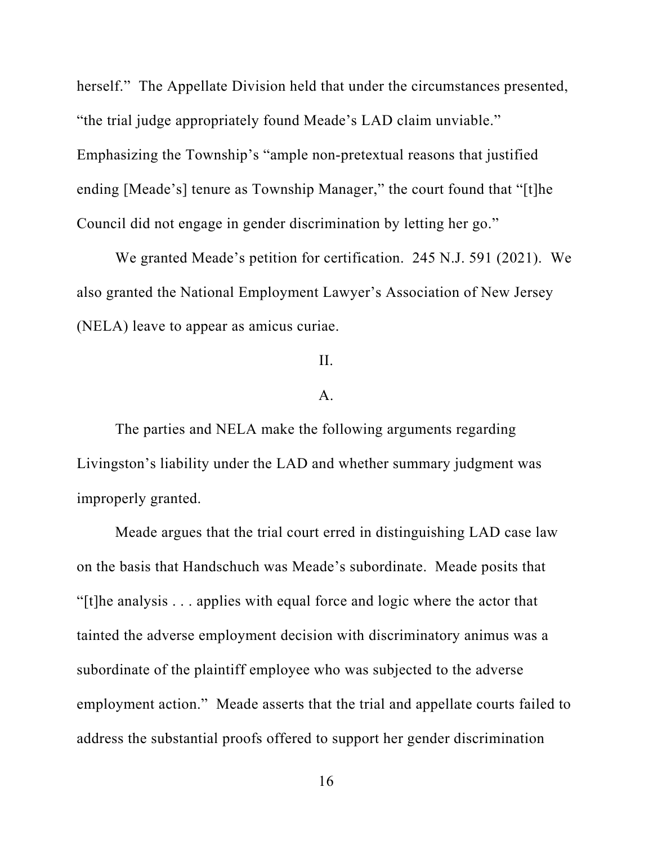herself." The Appellate Division held that under the circumstances presented, "the trial judge appropriately found Meade's LAD claim unviable." Emphasizing the Township's "ample non-pretextual reasons that justified ending [Meade's] tenure as Township Manager," the court found that "[t]he Council did not engage in gender discrimination by letting her go."

We granted Meade's petition for certification. 245 N.J. 591 (2021). We also granted the National Employment Lawyer's Association of New Jersey (NELA) leave to appear as amicus curiae.

## II.

#### A.

The parties and NELA make the following arguments regarding Livingston's liability under the LAD and whether summary judgment was improperly granted.

Meade argues that the trial court erred in distinguishing LAD case law on the basis that Handschuch was Meade's subordinate. Meade posits that "[t]he analysis . . . applies with equal force and logic where the actor that tainted the adverse employment decision with discriminatory animus was a subordinate of the plaintiff employee who was subjected to the adverse employment action." Meade asserts that the trial and appellate courts failed to address the substantial proofs offered to support her gender discrimination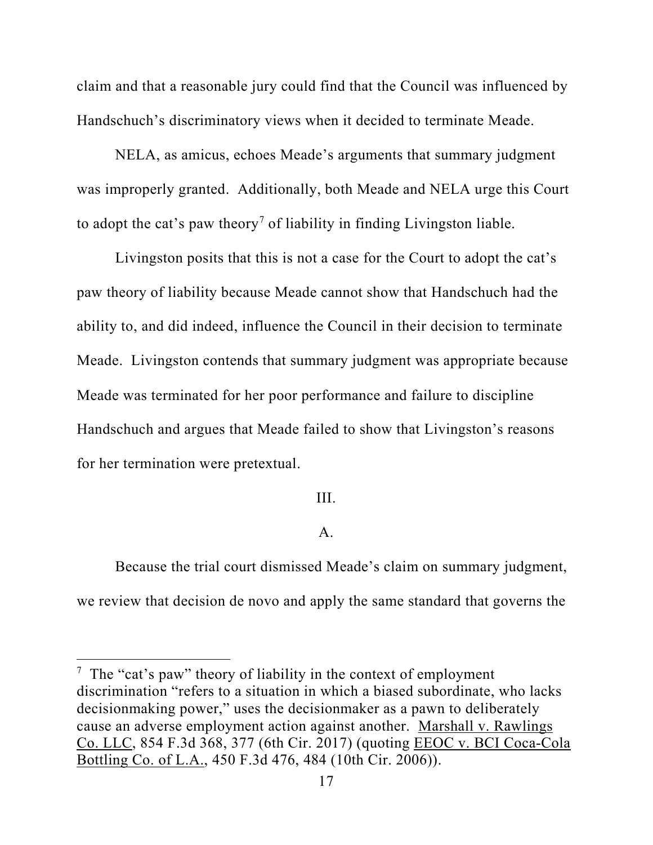claim and that a reasonable jury could find that the Council was influenced by Handschuch's discriminatory views when it decided to terminate Meade.

NELA, as amicus, echoes Meade's arguments that summary judgment was improperly granted. Additionally, both Meade and NELA urge this Court to adopt the cat's paw theory<sup>7</sup> of liability in finding Livingston liable.

Livingston posits that this is not a case for the Court to adopt the cat's paw theory of liability because Meade cannot show that Handschuch had the ability to, and did indeed, influence the Council in their decision to terminate Meade. Livingston contends that summary judgment was appropriate because Meade was terminated for her poor performance and failure to discipline Handschuch and argues that Meade failed to show that Livingston's reasons for her termination were pretextual.

#### III.

## A.

Because the trial court dismissed Meade's claim on summary judgment, we review that decision de novo and apply the same standard that governs the

<sup>&</sup>lt;sup>7</sup> The "cat's paw" theory of liability in the context of employment discrimination "refers to a situation in which a biased subordinate, who lacks decisionmaking power," uses the decisionmaker as a pawn to deliberately cause an adverse employment action against another. Marshall v. Rawlings Co. LLC, 854 F.3d 368, 377 (6th Cir. 2017) (quoting EEOC v. BCI Coca-Cola Bottling Co. of L.A., 450 F.3d 476, 484 (10th Cir. 2006)).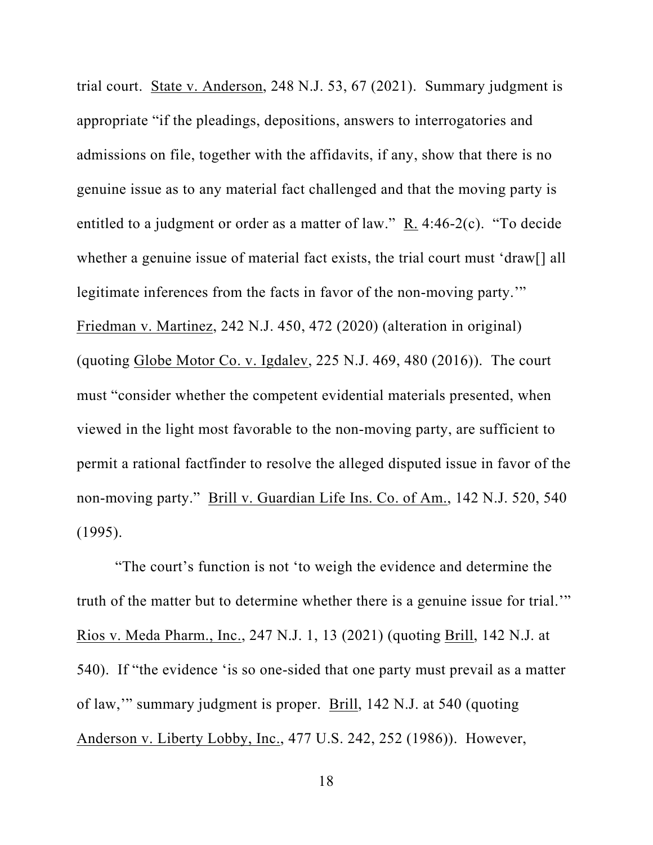trial court. State v. Anderson, 248 N.J. 53, 67 (2021). Summary judgment is appropriate "if the pleadings, depositions, answers to interrogatories and admissions on file, together with the affidavits, if any, show that there is no genuine issue as to any material fact challenged and that the moving party is entitled to a judgment or order as a matter of law." R. 4:46-2(c). "To decide whether a genuine issue of material fact exists, the trial court must 'draw[] all legitimate inferences from the facts in favor of the non-moving party." Friedman v. Martinez, 242 N.J. 450, 472 (2020) (alteration in original) (quoting Globe Motor Co. v. Igdalev, 225 N.J. 469, 480 (2016)). The court must "consider whether the competent evidential materials presented, when viewed in the light most favorable to the non-moving party, are sufficient to permit a rational factfinder to resolve the alleged disputed issue in favor of the non-moving party." Brill v. Guardian Life Ins. Co. of Am., 142 N.J. 520, 540 (1995).

"The court's function is not 'to weigh the evidence and determine the truth of the matter but to determine whether there is a genuine issue for trial.'" Rios v. Meda Pharm., Inc., 247 N.J. 1, 13 (2021) (quoting Brill, 142 N.J. at 540). If "the evidence 'is so one-sided that one party must prevail as a matter of law,'" summary judgment is proper. Brill, 142 N.J. at 540 (quoting Anderson v. Liberty Lobby, Inc., 477 U.S. 242, 252 (1986)). However,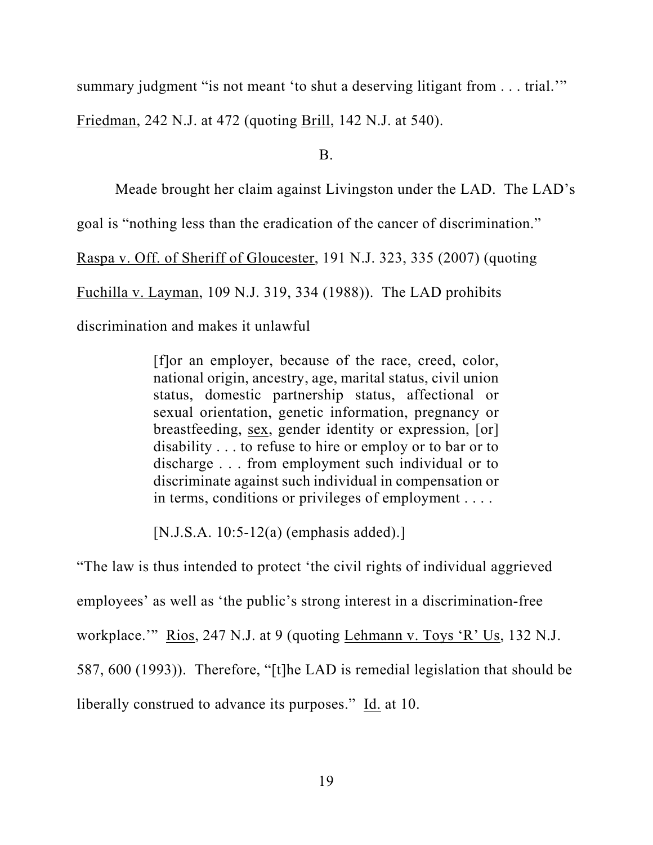summary judgment "is not meant 'to shut a deserving litigant from . . . trial."

Friedman, 242 N.J. at 472 (quoting Brill, 142 N.J. at 540).

B.

Meade brought her claim against Livingston under the LAD. The LAD's

goal is "nothing less than the eradication of the cancer of discrimination."

Raspa v. Off. of Sheriff of Gloucester, 191 N.J. 323, 335 (2007) (quoting

Fuchilla v. Layman, 109 N.J. 319, 334 (1988)). The LAD prohibits

discrimination and makes it unlawful

[f]or an employer, because of the race, creed, color, national origin, ancestry, age, marital status, civil union status, domestic partnership status, affectional or sexual orientation, genetic information, pregnancy or breastfeeding, sex, gender identity or expression, [or] disability . . . to refuse to hire or employ or to bar or to discharge . . . from employment such individual or to discriminate against such individual in compensation or in terms, conditions or privileges of employment . . . .

[N.J.S.A. 10:5-12(a) (emphasis added).]

"The law is thus intended to protect 'the civil rights of individual aggrieved employees' as well as 'the public's strong interest in a discrimination-free workplace.'" Rios, 247 N.J. at 9 (quoting Lehmann v. Toys 'R' Us, 132 N.J. 587, 600 (1993)). Therefore, "[t]he LAD is remedial legislation that should be liberally construed to advance its purposes." Id. at 10.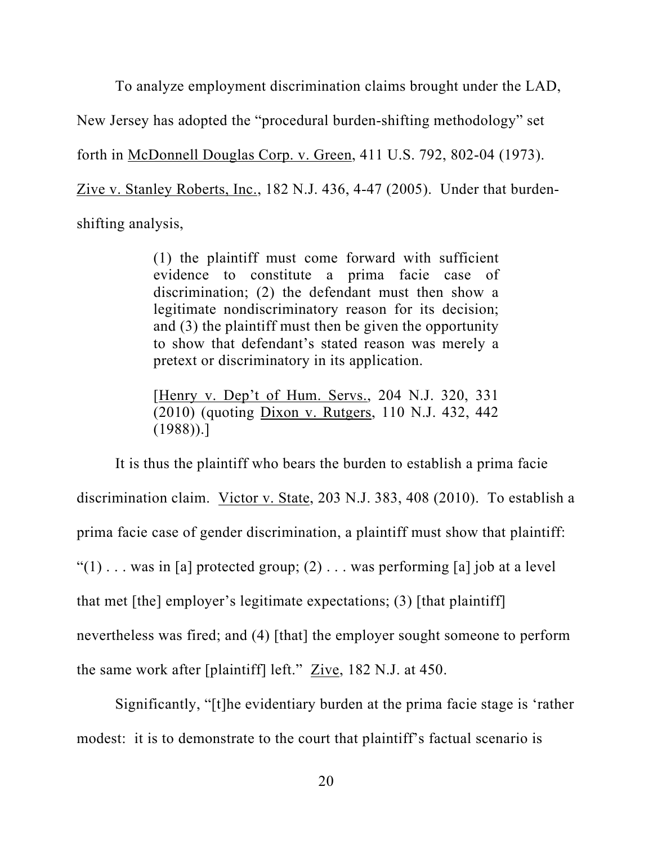To analyze employment discrimination claims brought under the LAD, New Jersey has adopted the "procedural burden-shifting methodology" set forth in McDonnell Douglas Corp. v. Green, 411 U.S. 792, 802-04 (1973). Zive v. Stanley Roberts, Inc., 182 N.J. 436, 4-47 (2005). Under that burdenshifting analysis,

> (1) the plaintiff must come forward with sufficient evidence to constitute a prima facie case of discrimination; (2) the defendant must then show a legitimate nondiscriminatory reason for its decision; and (3) the plaintiff must then be given the opportunity to show that defendant's stated reason was merely a pretext or discriminatory in its application.

> [Henry v. Dep't of Hum. Servs., 204 N.J. 320, 331 (2010) (quoting Dixon v. Rutgers, 110 N.J. 432, 442  $(1988)$ ).]

It is thus the plaintiff who bears the burden to establish a prima facie discrimination claim. Victor v. State, 203 N.J. 383, 408 (2010). To establish a prima facie case of gender discrimination, a plaintiff must show that plaintiff: " $(1)$ ... was in [a] protected group; (2)... was performing [a] job at a level that met [the] employer's legitimate expectations; (3) [that plaintiff] nevertheless was fired; and (4) [that] the employer sought someone to perform the same work after [plaintiff] left." Zive, 182 N.J. at 450.

Significantly, "[t]he evidentiary burden at the prima facie stage is 'rather modest: it is to demonstrate to the court that plaintiff's factual scenario is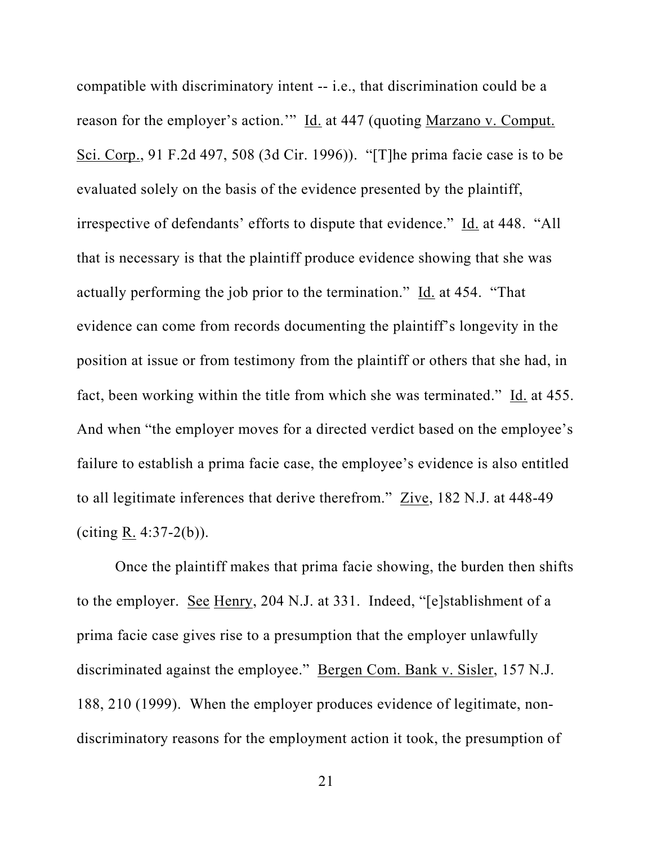compatible with discriminatory intent -- i.e., that discrimination could be a reason for the employer's action.'" Id. at 447 (quoting Marzano v. Comput. Sci. Corp., 91 F.2d 497, 508 (3d Cir. 1996)). "[T]he prima facie case is to be evaluated solely on the basis of the evidence presented by the plaintiff, irrespective of defendants' efforts to dispute that evidence." Id. at 448. "All that is necessary is that the plaintiff produce evidence showing that she was actually performing the job prior to the termination." Id. at 454. "That evidence can come from records documenting the plaintiff's longevity in the position at issue or from testimony from the plaintiff or others that she had, in fact, been working within the title from which she was terminated." Id. at 455. And when "the employer moves for a directed verdict based on the employee's failure to establish a prima facie case, the employee's evidence is also entitled to all legitimate inferences that derive therefrom." Zive, 182 N.J. at 448-49 (citing  $R. 4:37-2(b)$ ).

Once the plaintiff makes that prima facie showing, the burden then shifts to the employer. See Henry, 204 N.J. at 331. Indeed, "[e]stablishment of a prima facie case gives rise to a presumption that the employer unlawfully discriminated against the employee." Bergen Com. Bank v. Sisler, 157 N.J. 188, 210 (1999). When the employer produces evidence of legitimate, nondiscriminatory reasons for the employment action it took, the presumption of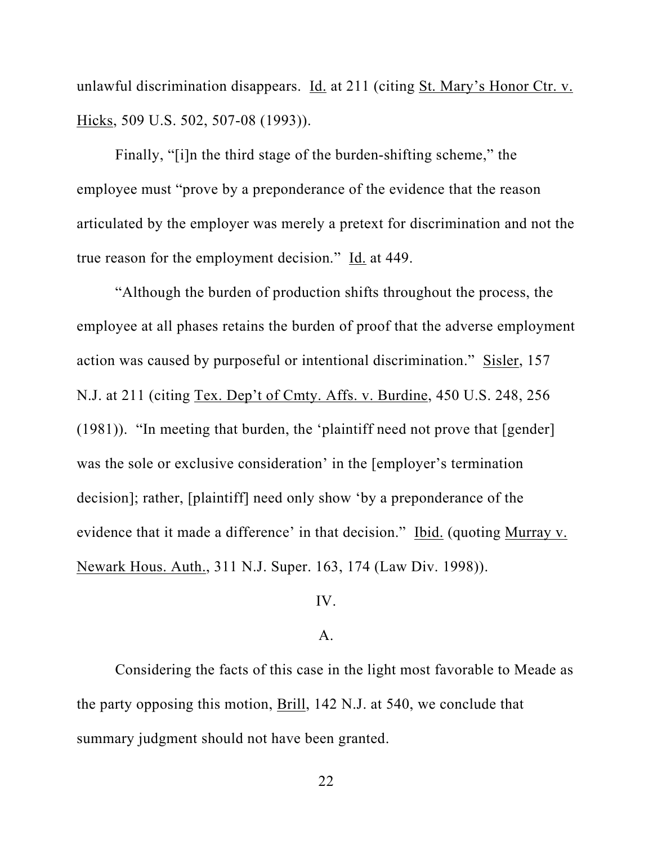unlawful discrimination disappears. Id. at 211 (citing St. Mary's Honor Ctr. v. Hicks, 509 U.S. 502, 507-08 (1993)).

Finally, "[i]n the third stage of the burden-shifting scheme," the employee must "prove by a preponderance of the evidence that the reason articulated by the employer was merely a pretext for discrimination and not the true reason for the employment decision." Id. at 449.

"Although the burden of production shifts throughout the process, the employee at all phases retains the burden of proof that the adverse employment action was caused by purposeful or intentional discrimination." Sisler, 157 N.J. at 211 (citing Tex. Dep't of Cmty. Affs. v. Burdine, 450 U.S. 248, 256 (1981)). "In meeting that burden, the 'plaintiff need not prove that [gender] was the sole or exclusive consideration' in the [employer's termination decision]; rather, [plaintiff] need only show 'by a preponderance of the evidence that it made a difference' in that decision." Ibid. (quoting Murray v. Newark Hous. Auth., 311 N.J. Super. 163, 174 (Law Div. 1998)).

## IV.

#### A.

Considering the facts of this case in the light most favorable to Meade as the party opposing this motion, Brill, 142 N.J. at 540, we conclude that summary judgment should not have been granted.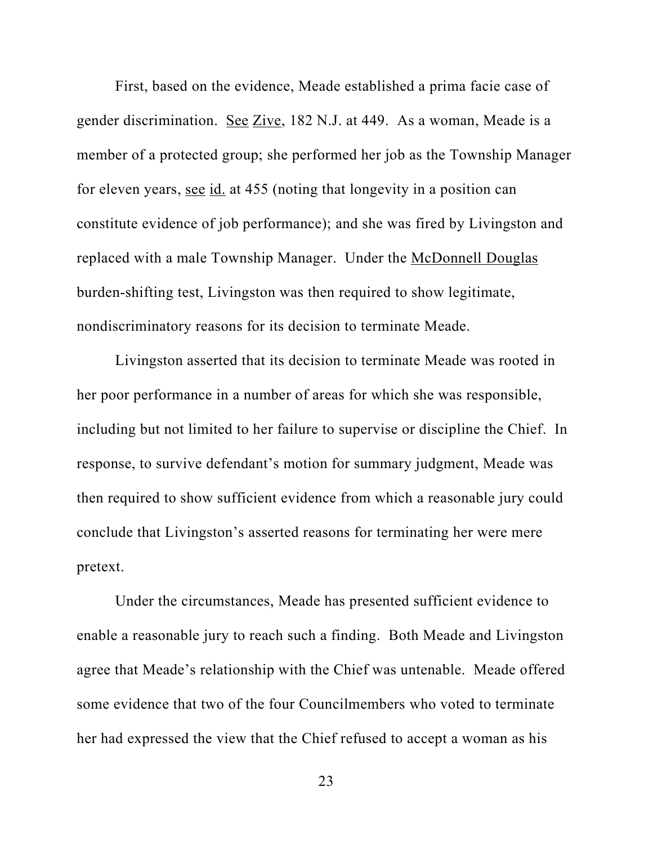First, based on the evidence, Meade established a prima facie case of gender discrimination. See Zive, 182 N.J. at 449. As a woman, Meade is a member of a protected group; she performed her job as the Township Manager for eleven years, see id. at 455 (noting that longevity in a position can constitute evidence of job performance); and she was fired by Livingston and replaced with a male Township Manager. Under the McDonnell Douglas burden-shifting test, Livingston was then required to show legitimate, nondiscriminatory reasons for its decision to terminate Meade.

Livingston asserted that its decision to terminate Meade was rooted in her poor performance in a number of areas for which she was responsible, including but not limited to her failure to supervise or discipline the Chief. In response, to survive defendant's motion for summary judgment, Meade was then required to show sufficient evidence from which a reasonable jury could conclude that Livingston's asserted reasons for terminating her were mere pretext.

Under the circumstances, Meade has presented sufficient evidence to enable a reasonable jury to reach such a finding. Both Meade and Livingston agree that Meade's relationship with the Chief was untenable. Meade offered some evidence that two of the four Councilmembers who voted to terminate her had expressed the view that the Chief refused to accept a woman as his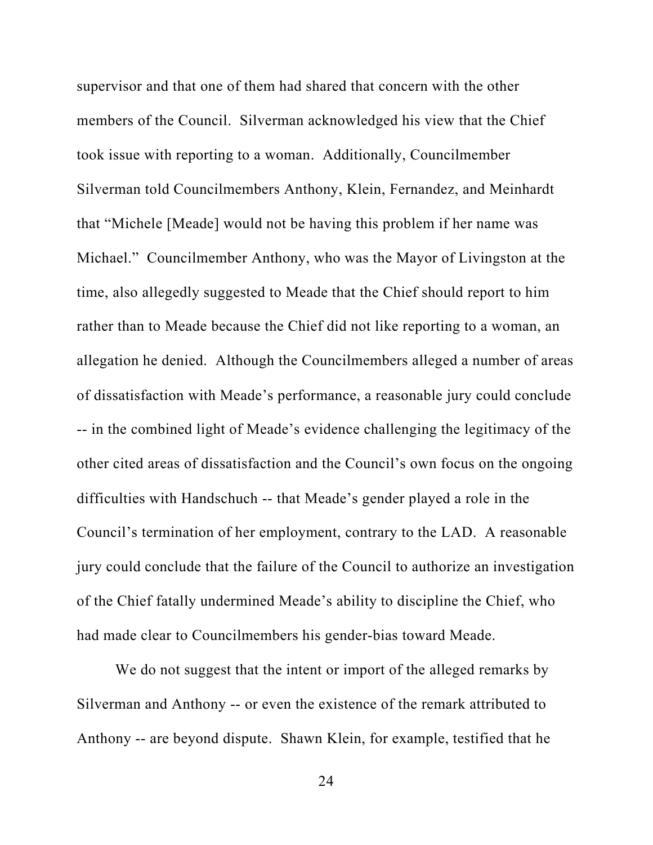supervisor and that one of them had shared that concern with the other members of the Council. Silverman acknowledged his view that the Chief took issue with reporting to a woman. Additionally, Councilmember Silverman told Councilmembers Anthony, Klein, Fernandez, and Meinhardt that "Michele [Meade] would not be having this problem if her name was Michael." Councilmember Anthony, who was the Mayor of Livingston at the time, also allegedly suggested to Meade that the Chief should report to him rather than to Meade because the Chief did not like reporting to a woman, an allegation he denied. Although the Councilmembers alleged a number of areas of dissatisfaction with Meade's performance, a reasonable jury could conclude -- in the combined light of Meade's evidence challenging the legitimacy of the other cited areas of dissatisfaction and the Council's own focus on the ongoing difficulties with Handschuch -- that Meade's gender played a role in the Council's termination of her employment, contrary to the LAD. A reasonable jury could conclude that the failure of the Council to authorize an investigation of the Chief fatally undermined Meade's ability to discipline the Chief, who had made clear to Councilmembers his gender-bias toward Meade.

We do not suggest that the intent or import of the alleged remarks by Silverman and Anthony -- or even the existence of the remark attributed to Anthony -- are beyond dispute. Shawn Klein, for example, testified that he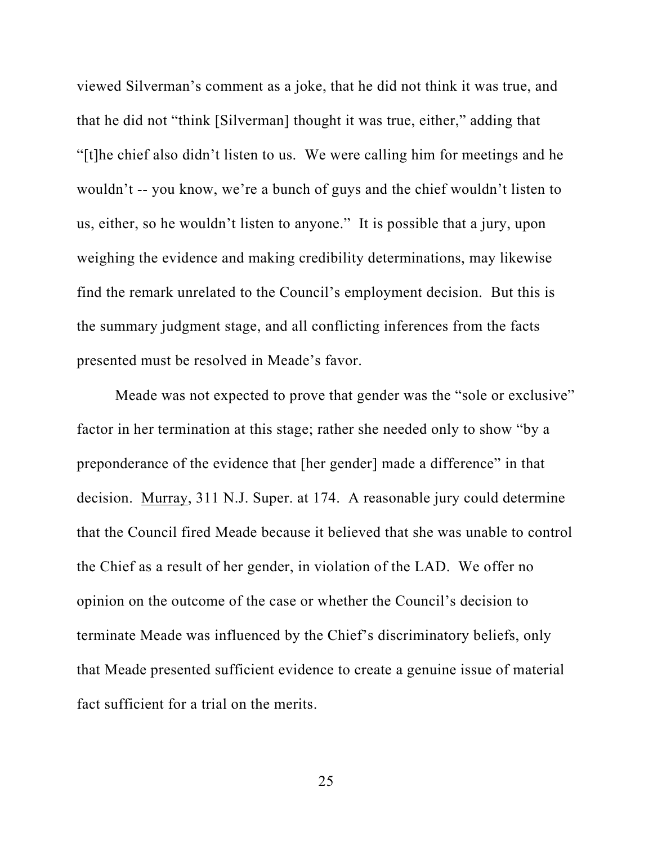viewed Silverman's comment as a joke, that he did not think it was true, and that he did not "think [Silverman] thought it was true, either," adding that "[t]he chief also didn't listen to us. We were calling him for meetings and he wouldn't -- you know, we're a bunch of guys and the chief wouldn't listen to us, either, so he wouldn't listen to anyone." It is possible that a jury, upon weighing the evidence and making credibility determinations, may likewise find the remark unrelated to the Council's employment decision. But this is the summary judgment stage, and all conflicting inferences from the facts presented must be resolved in Meade's favor.

Meade was not expected to prove that gender was the "sole or exclusive" factor in her termination at this stage; rather she needed only to show "by a preponderance of the evidence that [her gender] made a difference" in that decision. Murray, 311 N.J. Super. at 174. A reasonable jury could determine that the Council fired Meade because it believed that she was unable to control the Chief as a result of her gender, in violation of the LAD. We offer no opinion on the outcome of the case or whether the Council's decision to terminate Meade was influenced by the Chief's discriminatory beliefs, only that Meade presented sufficient evidence to create a genuine issue of material fact sufficient for a trial on the merits.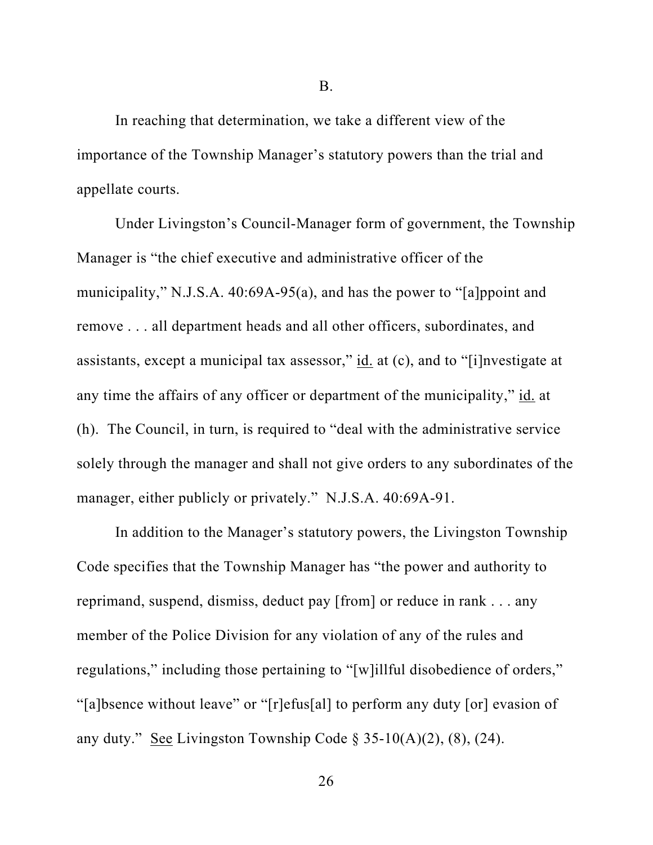In reaching that determination, we take a different view of the importance of the Township Manager's statutory powers than the trial and appellate courts.

Under Livingston's Council-Manager form of government, the Township Manager is "the chief executive and administrative officer of the municipality," N.J.S.A. 40:69A-95(a), and has the power to "[a]ppoint and remove . . . all department heads and all other officers, subordinates, and assistants, except a municipal tax assessor," id. at (c), and to "[i]nvestigate at any time the affairs of any officer or department of the municipality," id. at (h). The Council, in turn, is required to "deal with the administrative service solely through the manager and shall not give orders to any subordinates of the manager, either publicly or privately." N.J.S.A. 40:69A-91.

In addition to the Manager's statutory powers, the Livingston Township Code specifies that the Township Manager has "the power and authority to reprimand, suspend, dismiss, deduct pay [from] or reduce in rank . . . any member of the Police Division for any violation of any of the rules and regulations," including those pertaining to "[w]illful disobedience of orders," "[a]bsence without leave" or "[r]efus[al] to perform any duty [or] evasion of any duty." See Livingston Township Code § 35-10(A)(2), (8), (24).

B.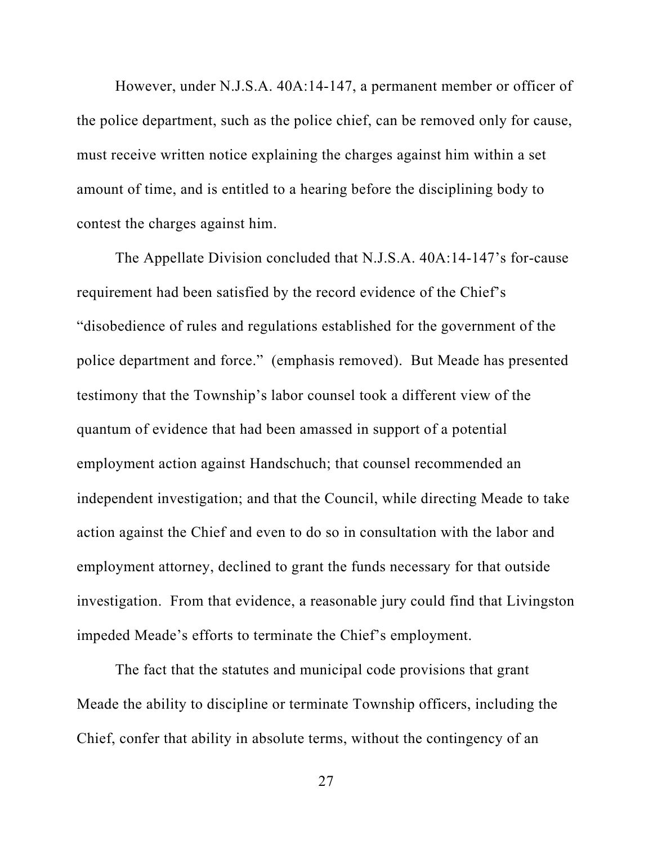However, under N.J.S.A. 40A:14-147, a permanent member or officer of the police department, such as the police chief, can be removed only for cause, must receive written notice explaining the charges against him within a set amount of time, and is entitled to a hearing before the disciplining body to contest the charges against him.

The Appellate Division concluded that N.J.S.A. 40A:14-147's for-cause requirement had been satisfied by the record evidence of the Chief's "disobedience of rules and regulations established for the government of the police department and force." (emphasis removed). But Meade has presented testimony that the Township's labor counsel took a different view of the quantum of evidence that had been amassed in support of a potential employment action against Handschuch; that counsel recommended an independent investigation; and that the Council, while directing Meade to take action against the Chief and even to do so in consultation with the labor and employment attorney, declined to grant the funds necessary for that outside investigation. From that evidence, a reasonable jury could find that Livingston impeded Meade's efforts to terminate the Chief's employment.

The fact that the statutes and municipal code provisions that grant Meade the ability to discipline or terminate Township officers, including the Chief, confer that ability in absolute terms, without the contingency of an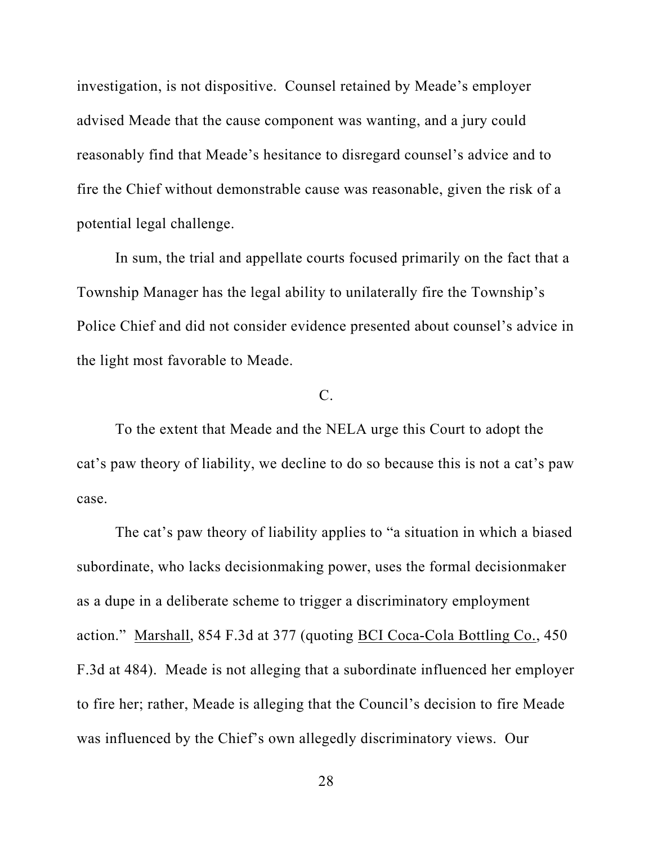investigation, is not dispositive. Counsel retained by Meade's employer advised Meade that the cause component was wanting, and a jury could reasonably find that Meade's hesitance to disregard counsel's advice and to fire the Chief without demonstrable cause was reasonable, given the risk of a potential legal challenge.

In sum, the trial and appellate courts focused primarily on the fact that a Township Manager has the legal ability to unilaterally fire the Township's Police Chief and did not consider evidence presented about counsel's advice in the light most favorable to Meade.

## C.

To the extent that Meade and the NELA urge this Court to adopt the cat's paw theory of liability, we decline to do so because this is not a cat's paw case.

The cat's paw theory of liability applies to "a situation in which a biased subordinate, who lacks decisionmaking power, uses the formal decisionmaker as a dupe in a deliberate scheme to trigger a discriminatory employment action." Marshall, 854 F.3d at 377 (quoting BCI Coca-Cola Bottling Co., 450 F.3d at 484). Meade is not alleging that a subordinate influenced her employer to fire her; rather, Meade is alleging that the Council's decision to fire Meade was influenced by the Chief's own allegedly discriminatory views. Our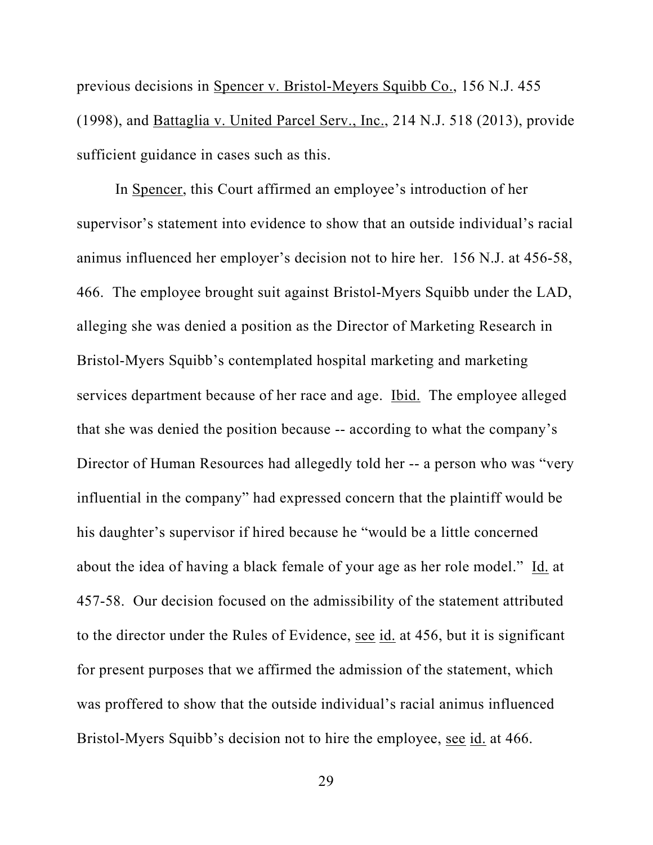previous decisions in Spencer v. Bristol-Meyers Squibb Co., 156 N.J. 455 (1998), and Battaglia v. United Parcel Serv., Inc., 214 N.J. 518 (2013), provide sufficient guidance in cases such as this.

In Spencer, this Court affirmed an employee's introduction of her supervisor's statement into evidence to show that an outside individual's racial animus influenced her employer's decision not to hire her. 156 N.J. at 456-58, 466. The employee brought suit against Bristol-Myers Squibb under the LAD, alleging she was denied a position as the Director of Marketing Research in Bristol-Myers Squibb's contemplated hospital marketing and marketing services department because of her race and age. Ibid. The employee alleged that she was denied the position because -- according to what the company's Director of Human Resources had allegedly told her -- a person who was "very influential in the company" had expressed concern that the plaintiff would be his daughter's supervisor if hired because he "would be a little concerned about the idea of having a black female of your age as her role model." Id. at 457-58. Our decision focused on the admissibility of the statement attributed to the director under the Rules of Evidence, see id. at 456, but it is significant for present purposes that we affirmed the admission of the statement, which was proffered to show that the outside individual's racial animus influenced Bristol-Myers Squibb's decision not to hire the employee, see id. at 466.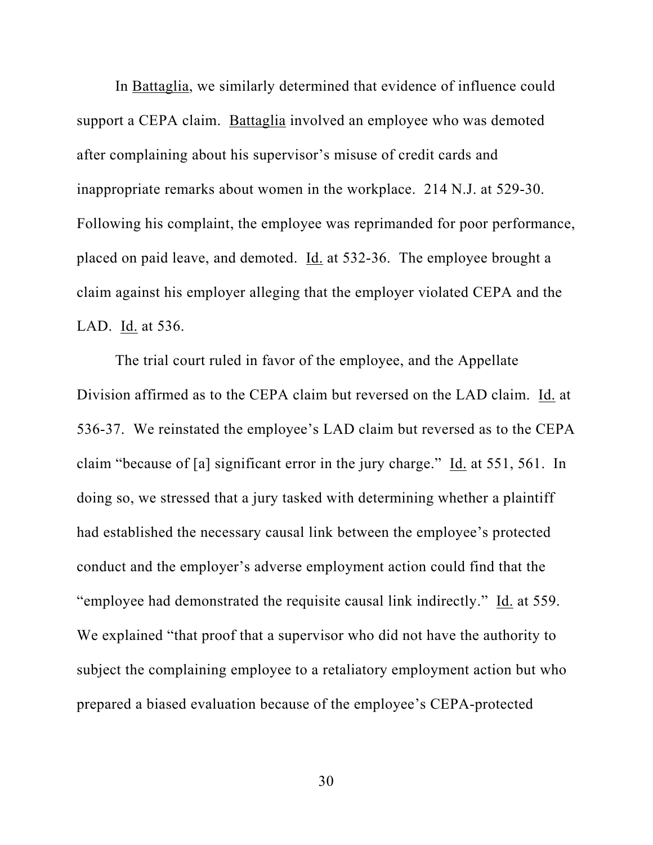In Battaglia, we similarly determined that evidence of influence could support a CEPA claim. Battaglia involved an employee who was demoted after complaining about his supervisor's misuse of credit cards and inappropriate remarks about women in the workplace. 214 N.J. at 529-30. Following his complaint, the employee was reprimanded for poor performance, placed on paid leave, and demoted. Id. at 532-36. The employee brought a claim against his employer alleging that the employer violated CEPA and the LAD. Id. at 536.

The trial court ruled in favor of the employee, and the Appellate Division affirmed as to the CEPA claim but reversed on the LAD claim. Id. at 536-37. We reinstated the employee's LAD claim but reversed as to the CEPA claim "because of [a] significant error in the jury charge." Id. at 551, 561. In doing so, we stressed that a jury tasked with determining whether a plaintiff had established the necessary causal link between the employee's protected conduct and the employer's adverse employment action could find that the "employee had demonstrated the requisite causal link indirectly." Id. at 559. We explained "that proof that a supervisor who did not have the authority to subject the complaining employee to a retaliatory employment action but who prepared a biased evaluation because of the employee's CEPA-protected